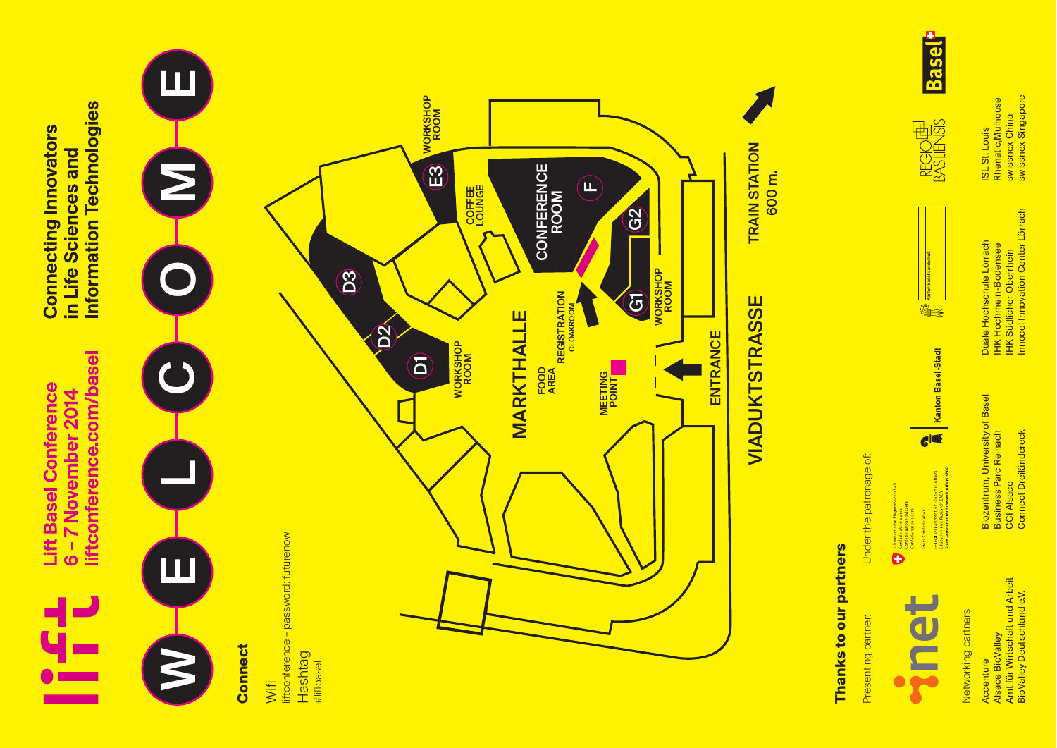

# Thanks to our partners **Thanks to our partners**

Presenting partner: Under the patronage of: Presenting partner:

Under the patronage of:

is de la propriété de la maison de la maison de la maison de la maison de la maison de la maison de la maison<br>Décembre de la maison de la maison de la maison de la maison de la maison de la maison de la maison de la mai



Alsace BioValley<br>Amt für Wirtschaft und Arbeit<br>BioValley Deutschland e.V. Amt für Wirtschaft und Arbeit Networking partners Networking partners Alsace BioValley Accenture **Accenture** 

BioValley Deutschland e.V.

Biozentrum, University of Basel<br>Business Parc Reinach<br>CCI Alsace<br>Connect Dreiländereck Biozentrum, University of Basel Connect Dreiländereck Business Parc Reinach CCI Alsace

ା ।<br>ଆ<del>ହ</del>

Kanton Basel-Stadt

 $\overline{\mathbf{G}^{\parallel\mathbf{K}}}$ 

Federal Departm<br>Education and F<br>Cassing Controller

Duale Hochschule Lörrach<br>IHK Hochrhein-Bodensee<br>IHK Südlicher Oberrhein<br>Innocel Innovation Center Lörrach Innocel Innovation Center Lörrach Duale Hochschule Lörrach IHK Hochrhein-Bodensee IHK Südlicher Oberrhein

Rhenatic,Mulhouse swissnex China swissnex Singapore

Rhenatic, Mulhouse<br>swissnex China<br>swissnex Singapore





**Basel**<sup>+</sup>

REGIOLENSIS<br>BASILIENSIS

ISL St. Louis ISL St. Louis